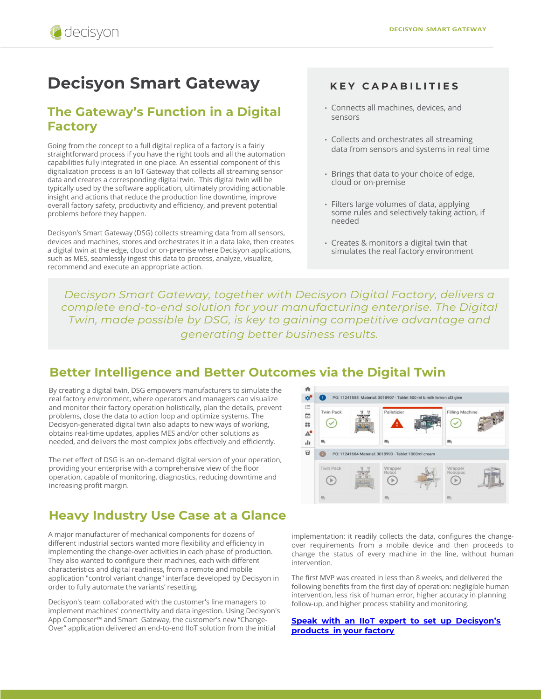# **Decisyon Smart Gateway**

## **The Gateway's Function in a Digital Factory**

Going from the concept to a full digital replica of a factory is a fairly straightforward process if you have the right tools and all the automation capabilities fully integrated in one place. An essential component of this digitalization process is an IoT Gateway that collects all streaming sensor data and creates a corresponding digital twin. This digital twin will be typically used by the software application, ultimately providing actionable insight and actions that reduce the production line downtime, improve overall factory safety, productivity and efficiency, and prevent potential problems before they happen.

Decisyon's Smart Gateway (DSG) collects streaming data from all sensors, devices and machines, stores and orchestrates it in a data lake, then creates a digital twin at the edge, cloud or on-premise where Decisyon applications, such as MES, seamlessly ingest this data to process, analyze, visualize, recommend and execute an appropriate action.

#### **KEY CAPABILITIES**

- Connects all machines, devices, and sensors
- Collects and orchestrates all streaming data from sensors and systems in real time
- Brings that data to your choice of edge, cloud or on-premise
- Filters large volumes of data, applying some rules and selectively taking action, if needed
- Creates & monitors a digital twin that simulates the real factory environment

*Decisyon Smart Gateway, together with Decisyon Digital Factory, delivers a complete end-to-end solution for your manufacturing enterprise. The Digital Twin, made possible by DSG, is key to gaining competitive advantage and generating better business results.* 

#### **Better Intelligence and Better Outcomes via the Digital Twin**

By creating a digital twin, DSG empowers manufacturers to simulate the real factory environment, where operators and managers can visualize and monitor their factory operation holistically, plan the details, prevent problems, close the data to action loop and optimize systems. The Decisyon-generated digital twin also adapts to new ways of working, obtains real-time updates, applies MES and/or other solutions as needed, and delivers the most complex jobs effectively and efficiently.

The net effect of DSG is an on-demand digital version of your operation, providing your enterprise with a comprehensive view of the floor operation, capable of monitoring, diagnostics, reducing downtime and increasing profit margin.

## **Heavy Industry Use Case at a Glance**

A major manufacturer of mechanical components for dozens of different industrial sectors wanted more flexibility and efficiency in implementing the change-over activities in each phase of production. They also wanted to configure their machines, each with different characteristics and digital readiness, from a remote and mobile application "control variant change" interface developed by Decisyon in order to fully automate the variants' resetting.

Decisyon's team collaborated with the customer's line managers to implement machines' connectivity and data ingestion. Using Decisyon's App Composer<sup>™</sup> and Smart Gateway, the customer's new "Change-Over" application delivered an end-to-end IIoT solution from the initial



implementation: it readily collects the data, configures the changeover requirements from a mobile device and then proceeds to change the status of every machine in the line, without human intervention.

The first MVP was created in less than 8 weeks, and delivered the following benefits from the first day of operation: negligible human intervention, less risk of human error, higher accuracy in planning follow-up, and higher process stability and monitoring.

**[Speak with an IIoT expert to set up Decisyon's](https://decisyon.com/contact-us)  products in your factory**